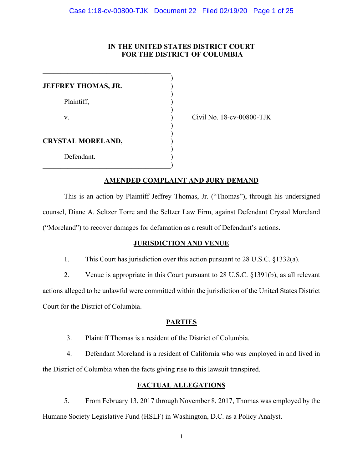## **IN THE UNITED STATES DISTRICT COURT FOR THE DISTRICT OF COLUMBIA**

| <b>JEFFREY THOMAS, JR.</b> |  |
|----------------------------|--|
| Plaintiff,                 |  |
| V.                         |  |
| <b>CRYSTAL MORELAND,</b>   |  |
| Defendant.                 |  |

Civil No. 18-cv-00800-TJK

# **AMENDED COMPLAINT AND JURY DEMAND**

This is an action by Plaintiff Jeffrey Thomas, Jr. ("Thomas"), through his undersigned counsel, Diane A. Seltzer Torre and the Seltzer Law Firm, against Defendant Crystal Moreland ("Moreland") to recover damages for defamation as a result of Defendant's actions.

# **JURISDICTION AND VENUE**

1. This Court has jurisdiction over this action pursuant to 28 U.S.C. §1332(a).

2. Venue is appropriate in this Court pursuant to 28 U.S.C. §1391(b), as all relevant actions alleged to be unlawful were committed within the jurisdiction of the United States District Court for the District of Columbia.

# **PARTIES**

3. Plaintiff Thomas is a resident of the District of Columbia.

4. Defendant Moreland is a resident of California who was employed in and lived in the District of Columbia when the facts giving rise to this lawsuit transpired.

# **FACTUAL ALLEGATIONS**

5. From February 13, 2017 through November 8, 2017, Thomas was employed by the Humane Society Legislative Fund (HSLF) in Washington, D.C. as a Policy Analyst.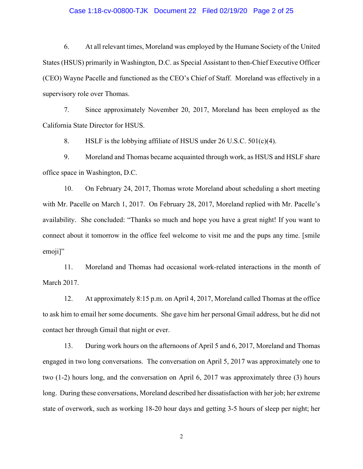#### Case 1:18-cv-00800-TJK Document 22 Filed 02/19/20 Page 2 of 25

6. At all relevant times, Moreland was employed by the Humane Society of the United States (HSUS) primarily in Washington, D.C. as Special Assistant to then-Chief Executive Officer (CEO) Wayne Pacelle and functioned as the CEO's Chief of Staff. Moreland was effectively in a supervisory role over Thomas.

7. Since approximately November 20, 2017, Moreland has been employed as the California State Director for HSUS.

8. HSLF is the lobbying affiliate of HSUS under 26 U.S.C. 501(c)(4).

9. Moreland and Thomas became acquainted through work, as HSUS and HSLF share office space in Washington, D.C.

10. On February 24, 2017, Thomas wrote Moreland about scheduling a short meeting with Mr. Pacelle on March 1, 2017. On February 28, 2017, Moreland replied with Mr. Pacelle's availability. She concluded: "Thanks so much and hope you have a great night! If you want to connect about it tomorrow in the office feel welcome to visit me and the pups any time. [smile emoji]"

11. Moreland and Thomas had occasional work-related interactions in the month of March 2017.

12. At approximately 8:15 p.m. on April 4, 2017, Moreland called Thomas at the office to ask him to email her some documents. She gave him her personal Gmail address, but he did not contact her through Gmail that night or ever.

13. During work hours on the afternoons of April 5 and 6, 2017, Moreland and Thomas engaged in two long conversations. The conversation on April 5, 2017 was approximately one to two (1-2) hours long, and the conversation on April 6, 2017 was approximately three (3) hours long. During these conversations, Moreland described her dissatisfaction with her job; her extreme state of overwork, such as working 18-20 hour days and getting 3-5 hours of sleep per night; her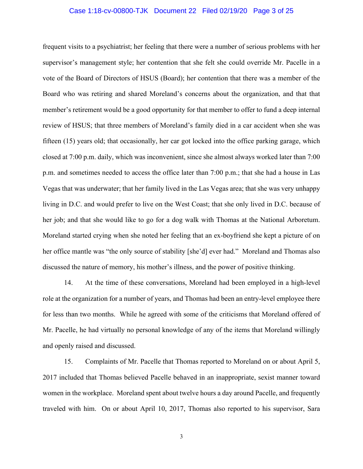#### Case 1:18-cv-00800-TJK Document 22 Filed 02/19/20 Page 3 of 25

frequent visits to a psychiatrist; her feeling that there were a number of serious problems with her supervisor's management style; her contention that she felt she could override Mr. Pacelle in a vote of the Board of Directors of HSUS (Board); her contention that there was a member of the Board who was retiring and shared Moreland's concerns about the organization, and that that member's retirement would be a good opportunity for that member to offer to fund a deep internal review of HSUS; that three members of Moreland's family died in a car accident when she was fifteen (15) years old; that occasionally, her car got locked into the office parking garage, which closed at 7:00 p.m. daily, which was inconvenient, since she almost always worked later than 7:00 p.m. and sometimes needed to access the office later than 7:00 p.m.; that she had a house in Las Vegas that was underwater; that her family lived in the Las Vegas area; that she was very unhappy living in D.C. and would prefer to live on the West Coast; that she only lived in D.C. because of her job; and that she would like to go for a dog walk with Thomas at the National Arboretum. Moreland started crying when she noted her feeling that an ex-boyfriend she kept a picture of on her office mantle was "the only source of stability [she'd] ever had." Moreland and Thomas also discussed the nature of memory, his mother's illness, and the power of positive thinking.

14. At the time of these conversations, Moreland had been employed in a high-level role at the organization for a number of years, and Thomas had been an entry-level employee there for less than two months. While he agreed with some of the criticisms that Moreland offered of Mr. Pacelle, he had virtually no personal knowledge of any of the items that Moreland willingly and openly raised and discussed.

15. Complaints of Mr. Pacelle that Thomas reported to Moreland on or about April 5, 2017 included that Thomas believed Pacelle behaved in an inappropriate, sexist manner toward women in the workplace. Moreland spent about twelve hours a day around Pacelle, and frequently traveled with him. On or about April 10, 2017, Thomas also reported to his supervisor, Sara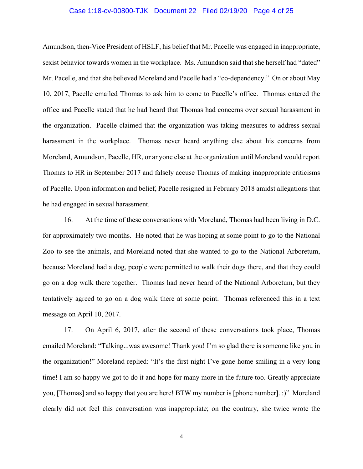#### Case 1:18-cv-00800-TJK Document 22 Filed 02/19/20 Page 4 of 25

Amundson, then-Vice President of HSLF, his belief that Mr. Pacelle was engaged in inappropriate, sexist behavior towards women in the workplace. Ms. Amundson said that she herself had "dated" Mr. Pacelle, and that she believed Moreland and Pacelle had a "co-dependency." On or about May 10, 2017, Pacelle emailed Thomas to ask him to come to Pacelle's office. Thomas entered the office and Pacelle stated that he had heard that Thomas had concerns over sexual harassment in the organization. Pacelle claimed that the organization was taking measures to address sexual harassment in the workplace. Thomas never heard anything else about his concerns from Moreland, Amundson, Pacelle, HR, or anyone else at the organization until Moreland would report Thomas to HR in September 2017 and falsely accuse Thomas of making inappropriate criticisms of Pacelle. Upon information and belief, Pacelle resigned in February 2018 amidst allegations that he had engaged in sexual harassment.

16. At the time of these conversations with Moreland, Thomas had been living in D.C. for approximately two months. He noted that he was hoping at some point to go to the National Zoo to see the animals, and Moreland noted that she wanted to go to the National Arboretum, because Moreland had a dog, people were permitted to walk their dogs there, and that they could go on a dog walk there together. Thomas had never heard of the National Arboretum, but they tentatively agreed to go on a dog walk there at some point. Thomas referenced this in a text message on April 10, 2017.

17. On April 6, 2017, after the second of these conversations took place, Thomas emailed Moreland: "Talking...was awesome! Thank you! I'm so glad there is someone like you in the organization!" Moreland replied: "It's the first night I've gone home smiling in a very long time! I am so happy we got to do it and hope for many more in the future too. Greatly appreciate you, [Thomas] and so happy that you are here! BTW my number is [phone number]. :)" Moreland clearly did not feel this conversation was inappropriate; on the contrary, she twice wrote the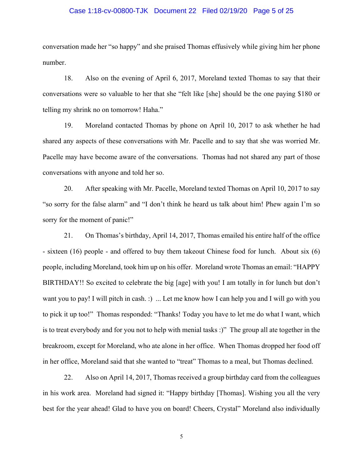#### Case 1:18-cv-00800-TJK Document 22 Filed 02/19/20 Page 5 of 25

conversation made her "so happy" and she praised Thomas effusively while giving him her phone number.

18. Also on the evening of April 6, 2017, Moreland texted Thomas to say that their conversations were so valuable to her that she "felt like [she] should be the one paying \$180 or telling my shrink no on tomorrow! Haha."

19. Moreland contacted Thomas by phone on April 10, 2017 to ask whether he had shared any aspects of these conversations with Mr. Pacelle and to say that she was worried Mr. Pacelle may have become aware of the conversations. Thomas had not shared any part of those conversations with anyone and told her so.

20. After speaking with Mr. Pacelle, Moreland texted Thomas on April 10, 2017 to say "so sorry for the false alarm" and "I don't think he heard us talk about him! Phew again I'm so sorry for the moment of panic!"

21. On Thomas's birthday, April 14, 2017, Thomas emailed his entire half of the office - sixteen (16) people - and offered to buy them takeout Chinese food for lunch. About six (6) people, including Moreland, took him up on his offer. Moreland wrote Thomas an email: "HAPPY BIRTHDAY!! So excited to celebrate the big [age] with you! I am totally in for lunch but don't want you to pay! I will pitch in cash. :) ... Let me know how I can help you and I will go with you to pick it up too!" Thomas responded: "Thanks! Today you have to let me do what I want, which is to treat everybody and for you not to help with menial tasks :)" The group all ate together in the breakroom, except for Moreland, who ate alone in her office. When Thomas dropped her food off in her office, Moreland said that she wanted to "treat" Thomas to a meal, but Thomas declined.

22. Also on April 14, 2017, Thomas received a group birthday card from the colleagues in his work area. Moreland had signed it: "Happy birthday [Thomas]. Wishing you all the very best for the year ahead! Glad to have you on board! Cheers, Crystal" Moreland also individually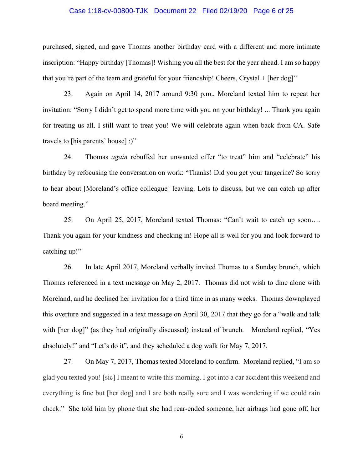#### Case 1:18-cv-00800-TJK Document 22 Filed 02/19/20 Page 6 of 25

purchased, signed, and gave Thomas another birthday card with a different and more intimate inscription: "Happy birthday [Thomas]! Wishing you all the best for the year ahead. I am so happy that you're part of the team and grateful for your friendship! Cheers, Crystal + [her dog]"

23. Again on April 14, 2017 around 9:30 p.m., Moreland texted him to repeat her invitation: "Sorry I didn't get to spend more time with you on your birthday! ... Thank you again for treating us all. I still want to treat you! We will celebrate again when back from CA. Safe travels to [his parents' house] :)"

24. Thomas *again* rebuffed her unwanted offer "to treat" him and "celebrate" his birthday by refocusing the conversation on work: "Thanks! Did you get your tangerine? So sorry to hear about [Moreland's office colleague] leaving. Lots to discuss, but we can catch up after board meeting."

25. On April 25, 2017, Moreland texted Thomas: "Can't wait to catch up soon…. Thank you again for your kindness and checking in! Hope all is well for you and look forward to catching up!"

26. In late April 2017, Moreland verbally invited Thomas to a Sunday brunch, which Thomas referenced in a text message on May 2, 2017. Thomas did not wish to dine alone with Moreland, and he declined her invitation for a third time in as many weeks. Thomas downplayed this overture and suggested in a text message on April 30, 2017 that they go for a "walk and talk with [her dog]" (as they had originally discussed) instead of brunch. Moreland replied, "Yes absolutely!" and "Let's do it", and they scheduled a dog walk for May 7, 2017.

27. On May 7, 2017, Thomas texted Moreland to confirm. Moreland replied, "I am so glad you texted you! [sic] I meant to write this morning. I got into a car accident this weekend and everything is fine but [her dog] and I are both really sore and I was wondering if we could rain check." She told him by phone that she had rear-ended someone, her airbags had gone off, her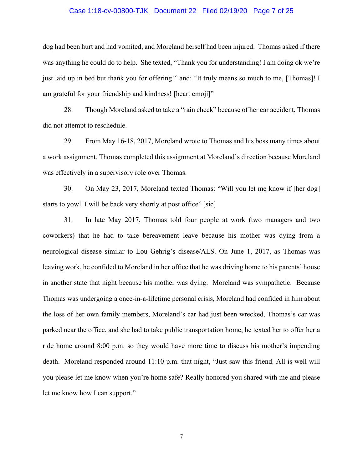#### Case 1:18-cv-00800-TJK Document 22 Filed 02/19/20 Page 7 of 25

dog had been hurt and had vomited, and Moreland herself had been injured. Thomas asked if there was anything he could do to help. She texted, "Thank you for understanding! I am doing ok we're just laid up in bed but thank you for offering!" and: "It truly means so much to me, [Thomas]! I am grateful for your friendship and kindness! [heart emoji]"

28. Though Moreland asked to take a "rain check" because of her car accident, Thomas did not attempt to reschedule.

29. From May 16-18, 2017, Moreland wrote to Thomas and his boss many times about a work assignment. Thomas completed this assignment at Moreland's direction because Moreland was effectively in a supervisory role over Thomas.

30. On May 23, 2017, Moreland texted Thomas: "Will you let me know if [her dog] starts to yowl. I will be back very shortly at post office" [sic]

31. In late May 2017, Thomas told four people at work (two managers and two coworkers) that he had to take bereavement leave because his mother was dying from a neurological disease similar to Lou Gehrig's disease/ALS. On June 1, 2017, as Thomas was leaving work, he confided to Moreland in her office that he was driving home to his parents' house in another state that night because his mother was dying. Moreland was sympathetic. Because Thomas was undergoing a once-in-a-lifetime personal crisis, Moreland had confided in him about the loss of her own family members, Moreland's car had just been wrecked, Thomas's car was parked near the office, and she had to take public transportation home, he texted her to offer her a ride home around 8:00 p.m. so they would have more time to discuss his mother's impending death. Moreland responded around 11:10 p.m. that night, "Just saw this friend. All is well will you please let me know when you're home safe? Really honored you shared with me and please let me know how I can support."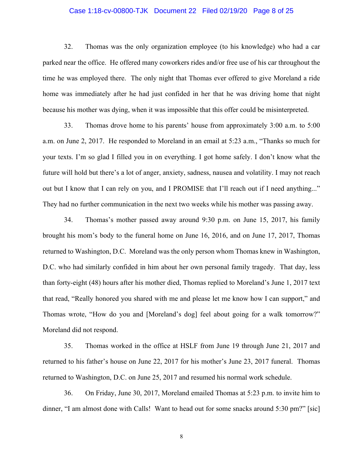#### Case 1:18-cv-00800-TJK Document 22 Filed 02/19/20 Page 8 of 25

32. Thomas was the only organization employee (to his knowledge) who had a car parked near the office. He offered many coworkers rides and/or free use of his car throughout the time he was employed there. The only night that Thomas ever offered to give Moreland a ride home was immediately after he had just confided in her that he was driving home that night because his mother was dying, when it was impossible that this offer could be misinterpreted.

33. Thomas drove home to his parents' house from approximately 3:00 a.m. to 5:00 a.m. on June 2, 2017. He responded to Moreland in an email at 5:23 a.m., "Thanks so much for your texts. I'm so glad I filled you in on everything. I got home safely. I don't know what the future will hold but there's a lot of anger, anxiety, sadness, nausea and volatility. I may not reach out but I know that I can rely on you, and I PROMISE that I'll reach out if I need anything..." They had no further communication in the next two weeks while his mother was passing away.

34. Thomas's mother passed away around 9:30 p.m. on June 15, 2017, his family brought his mom's body to the funeral home on June 16, 2016, and on June 17, 2017, Thomas returned to Washington, D.C. Moreland was the only person whom Thomas knew in Washington, D.C. who had similarly confided in him about her own personal family tragedy. That day, less than forty-eight (48) hours after his mother died, Thomas replied to Moreland's June 1, 2017 text that read, "Really honored you shared with me and please let me know how I can support," and Thomas wrote, "How do you and [Moreland's dog] feel about going for a walk tomorrow?" Moreland did not respond.

35. Thomas worked in the office at HSLF from June 19 through June 21, 2017 and returned to his father's house on June 22, 2017 for his mother's June 23, 2017 funeral. Thomas returned to Washington, D.C. on June 25, 2017 and resumed his normal work schedule.

36. On Friday, June 30, 2017, Moreland emailed Thomas at 5:23 p.m. to invite him to dinner, "I am almost done with Calls! Want to head out for some snacks around 5:30 pm?" [sic]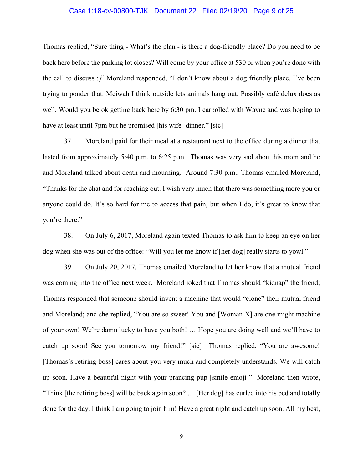#### Case 1:18-cv-00800-TJK Document 22 Filed 02/19/20 Page 9 of 25

Thomas replied, "Sure thing - What's the plan - is there a dog-friendly place? Do you need to be back here before the parking lot closes? Will come by your office at 530 or when you're done with the call to discuss :)" Moreland responded, "I don't know about a dog friendly place. I've been trying to ponder that. Meiwah I think outside lets animals hang out. Possibly café delux does as well. Would you be ok getting back here by 6:30 pm. I carpolled with Wayne and was hoping to have at least until 7pm but he promised [his wife] dinner." [sic]

37. Moreland paid for their meal at a restaurant next to the office during a dinner that lasted from approximately 5:40 p.m. to 6:25 p.m. Thomas was very sad about his mom and he and Moreland talked about death and mourning. Around 7:30 p.m., Thomas emailed Moreland, "Thanks for the chat and for reaching out. I wish very much that there was something more you or anyone could do. It's so hard for me to access that pain, but when I do, it's great to know that you're there."

38. On July 6, 2017, Moreland again texted Thomas to ask him to keep an eye on her dog when she was out of the office: "Will you let me know if [her dog] really starts to yowl."

39. On July 20, 2017, Thomas emailed Moreland to let her know that a mutual friend was coming into the office next week. Moreland joked that Thomas should "kidnap" the friend; Thomas responded that someone should invent a machine that would "clone" their mutual friend and Moreland; and she replied, "You are so sweet! You and [Woman X] are one might machine of your own! We're damn lucky to have you both! … Hope you are doing well and we'll have to catch up soon! See you tomorrow my friend!" [sic] Thomas replied, "You are awesome! [Thomas's retiring boss] cares about you very much and completely understands. We will catch up soon. Have a beautiful night with your prancing pup [smile emoji]" Moreland then wrote, "Think [the retiring boss] will be back again soon? … [Her dog] has curled into his bed and totally done for the day. I think I am going to join him! Have a great night and catch up soon. All my best,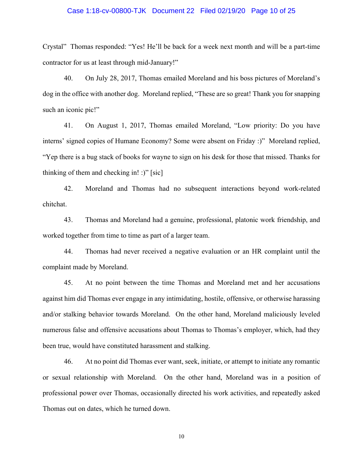#### Case 1:18-cv-00800-TJK Document 22 Filed 02/19/20 Page 10 of 25

Crystal" Thomas responded: "Yes! He'll be back for a week next month and will be a part-time contractor for us at least through mid-January!"

40. On July 28, 2017, Thomas emailed Moreland and his boss pictures of Moreland's dog in the office with another dog. Moreland replied, "These are so great! Thank you for snapping such an iconic pic!"

41. On August 1, 2017, Thomas emailed Moreland, "Low priority: Do you have interns' signed copies of Humane Economy? Some were absent on Friday :)" Moreland replied, "Yep there is a bug stack of books for wayne to sign on his desk for those that missed. Thanks for thinking of them and checking in! :)" [sic]

42. Moreland and Thomas had no subsequent interactions beyond work-related chitchat.

43. Thomas and Moreland had a genuine, professional, platonic work friendship, and worked together from time to time as part of a larger team.

44. Thomas had never received a negative evaluation or an HR complaint until the complaint made by Moreland.

45. At no point between the time Thomas and Moreland met and her accusations against him did Thomas ever engage in any intimidating, hostile, offensive, or otherwise harassing and/or stalking behavior towards Moreland. On the other hand, Moreland maliciously leveled numerous false and offensive accusations about Thomas to Thomas's employer, which, had they been true, would have constituted harassment and stalking.

46. At no point did Thomas ever want, seek, initiate, or attempt to initiate any romantic or sexual relationship with Moreland. On the other hand, Moreland was in a position of professional power over Thomas, occasionally directed his work activities, and repeatedly asked Thomas out on dates, which he turned down.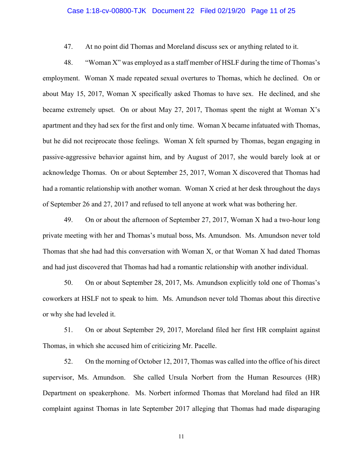#### Case 1:18-cv-00800-TJK Document 22 Filed 02/19/20 Page 11 of 25

47. At no point did Thomas and Moreland discuss sex or anything related to it.

48. "Woman X" was employed as a staff member of HSLF during the time of Thomas's employment. Woman X made repeated sexual overtures to Thomas, which he declined. On or about May 15, 2017, Woman X specifically asked Thomas to have sex. He declined, and she became extremely upset. On or about May 27, 2017, Thomas spent the night at Woman X's apartment and they had sex for the first and only time. Woman X became infatuated with Thomas, but he did not reciprocate those feelings. Woman X felt spurned by Thomas, began engaging in passive-aggressive behavior against him, and by August of 2017, she would barely look at or acknowledge Thomas. On or about September 25, 2017, Woman X discovered that Thomas had had a romantic relationship with another woman. Woman X cried at her desk throughout the days of September 26 and 27, 2017 and refused to tell anyone at work what was bothering her.

49. On or about the afternoon of September 27, 2017, Woman X had a two-hour long private meeting with her and Thomas's mutual boss, Ms. Amundson. Ms. Amundson never told Thomas that she had had this conversation with Woman X, or that Woman X had dated Thomas and had just discovered that Thomas had had a romantic relationship with another individual.

50. On or about September 28, 2017, Ms. Amundson explicitly told one of Thomas's coworkers at HSLF not to speak to him. Ms. Amundson never told Thomas about this directive or why she had leveled it.

51. On or about September 29, 2017, Moreland filed her first HR complaint against Thomas, in which she accused him of criticizing Mr. Pacelle.

52. On the morning of October 12, 2017, Thomas was called into the office of his direct supervisor, Ms. Amundson. She called Ursula Norbert from the Human Resources (HR) Department on speakerphone. Ms. Norbert informed Thomas that Moreland had filed an HR complaint against Thomas in late September 2017 alleging that Thomas had made disparaging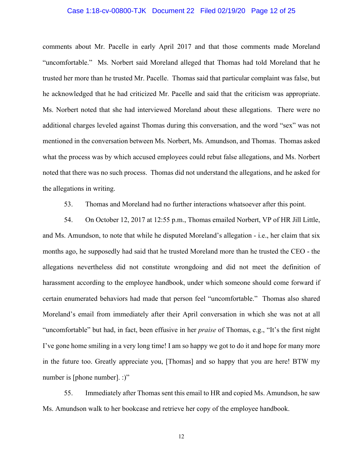#### Case 1:18-cv-00800-TJK Document 22 Filed 02/19/20 Page 12 of 25

comments about Mr. Pacelle in early April 2017 and that those comments made Moreland "uncomfortable." Ms. Norbert said Moreland alleged that Thomas had told Moreland that he trusted her more than he trusted Mr. Pacelle. Thomas said that particular complaint was false, but he acknowledged that he had criticized Mr. Pacelle and said that the criticism was appropriate. Ms. Norbert noted that she had interviewed Moreland about these allegations. There were no additional charges leveled against Thomas during this conversation, and the word "sex" was not mentioned in the conversation between Ms. Norbert, Ms. Amundson, and Thomas. Thomas asked what the process was by which accused employees could rebut false allegations, and Ms. Norbert noted that there was no such process. Thomas did not understand the allegations, and he asked for the allegations in writing.

53. Thomas and Moreland had no further interactions whatsoever after this point.

54. On October 12, 2017 at 12:55 p.m., Thomas emailed Norbert, VP of HR Jill Little, and Ms. Amundson, to note that while he disputed Moreland's allegation - i.e., her claim that six months ago, he supposedly had said that he trusted Moreland more than he trusted the CEO - the allegations nevertheless did not constitute wrongdoing and did not meet the definition of harassment according to the employee handbook, under which someone should come forward if certain enumerated behaviors had made that person feel "uncomfortable." Thomas also shared Moreland's email from immediately after their April conversation in which she was not at all "uncomfortable" but had, in fact, been effusive in her *praise* of Thomas, e.g., "It's the first night I've gone home smiling in a very long time! I am so happy we got to do it and hope for many more in the future too. Greatly appreciate you, [Thomas] and so happy that you are here! BTW my number is [phone number]. :)"

55. Immediately after Thomas sent this email to HR and copied Ms. Amundson, he saw Ms. Amundson walk to her bookcase and retrieve her copy of the employee handbook.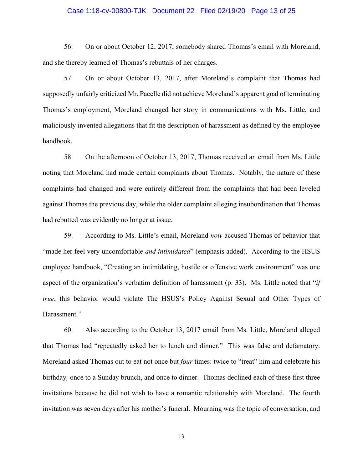#### Case 1:18-cv-00800-TJK Document 22 Filed 02/19/20 Page 13 of 25

56. On or about October 12, 2017, somebody shared Thomas's email with Moreland, and she thereby learned of Thomas's rebuttals of her charges.

57. On or about October 13, 2017, after Moreland's complaint that Thomas had supposedly unfairly criticized Mr. Pacelle did not achieve Moreland's apparent goal of terminating Thomas's employment, Moreland changed her story in communications with Ms. Little, and maliciously invented allegations that fit the description of harassment as defined by the employee handbook.

58. On the afternoon of October 13, 2017, Thomas received an email from Ms. Little noting that Moreland had made certain complaints about Thomas. Notably, the nature of these complaints had changed and were entirely different from the complaints that had been leveled against Thomas the previous day, while the older complaint alleging insubordination that Thomas had rebutted was evidently no longer at issue.

59. According to Ms. Little's email, Moreland *now* accused Thomas of behavior that "made her feel very uncomfortable *and intimidated*" (emphasis added). According to the HSUS employee handbook, "Creating an intimidating, hostile or offensive work environment" was one aspect of the organization's verbatim definition of harassment (p. 33). Ms. Little noted that "*if true*, this behavior would violate The HSUS's Policy Against Sexual and Other Types of Harassment."

60. Also according to the October 13, 2017 email from Ms. Little, Moreland alleged that Thomas had "repeatedly asked her to lunch and dinner." This was false and defamatory. Moreland asked Thomas out to eat not once but *four* times: twice to "treat" him and celebrate his birthday*,* once to a Sunday brunch, and once to dinner. Thomas declined each of these first three invitations because he did not wish to have a romantic relationship with Moreland. The fourth invitation was seven days after his mother's funeral. Mourning was the topic of conversation, and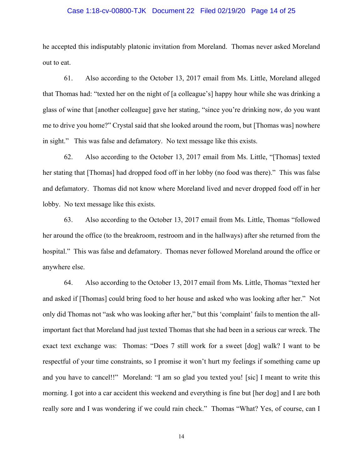#### Case 1:18-cv-00800-TJK Document 22 Filed 02/19/20 Page 14 of 25

he accepted this indisputably platonic invitation from Moreland. Thomas never asked Moreland out to eat.

61. Also according to the October 13, 2017 email from Ms. Little, Moreland alleged that Thomas had: "texted her on the night of [a colleague's] happy hour while she was drinking a glass of wine that [another colleague] gave her stating, "since you're drinking now, do you want me to drive you home?" Crystal said that she looked around the room, but [Thomas was] nowhere in sight." This was false and defamatory. No text message like this exists.

62. Also according to the October 13, 2017 email from Ms. Little, "[Thomas] texted her stating that [Thomas] had dropped food off in her lobby (no food was there)." This was false and defamatory. Thomas did not know where Moreland lived and never dropped food off in her lobby. No text message like this exists.

63. Also according to the October 13, 2017 email from Ms. Little, Thomas "followed her around the office (to the breakroom, restroom and in the hallways) after she returned from the hospital." This was false and defamatory. Thomas never followed Moreland around the office or anywhere else.

64. Also according to the October 13, 2017 email from Ms. Little, Thomas "texted her and asked if [Thomas] could bring food to her house and asked who was looking after her." Not only did Thomas not "ask who was looking after her," but this 'complaint' fails to mention the allimportant fact that Moreland had just texted Thomas that she had been in a serious car wreck. The exact text exchange was: Thomas: "Does 7 still work for a sweet [dog] walk? I want to be respectful of your time constraints, so I promise it won't hurt my feelings if something came up and you have to cancel!!" Moreland: "I am so glad you texted you! [sic] I meant to write this morning. I got into a car accident this weekend and everything is fine but [her dog] and I are both really sore and I was wondering if we could rain check." Thomas "What? Yes, of course, can I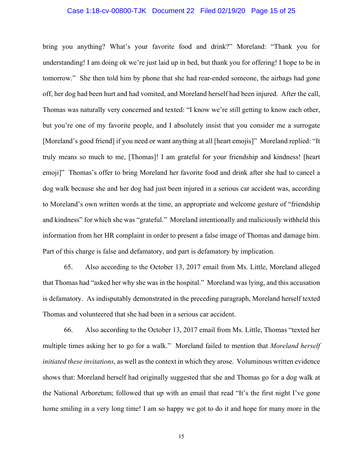#### Case 1:18-cv-00800-TJK Document 22 Filed 02/19/20 Page 15 of 25

bring you anything? What's your favorite food and drink?" Moreland: "Thank you for understanding! I am doing ok we're just laid up in bed, but thank you for offering! I hope to be in tomorrow." She then told him by phone that she had rear-ended someone, the airbags had gone off, her dog had been hurt and had vomited, and Moreland herself had been injured. After the call, Thomas was naturally very concerned and texted: "I know we're still getting to know each other, but you're one of my favorite people, and I absolutely insist that you consider me a surrogate [Moreland's good friend] if you need or want anything at all [heart emojis]" Moreland replied: "It truly means so much to me, [Thomas]! I am grateful for your friendship and kindness! [heart emoji]" Thomas's offer to bring Moreland her favorite food and drink after she had to cancel a dog walk because she and her dog had just been injured in a serious car accident was, according to Moreland's own written words at the time, an appropriate and welcome gesture of "friendship and kindness" for which she was "grateful." Moreland intentionally and maliciously withheld this information from her HR complaint in order to present a false image of Thomas and damage him. Part of this charge is false and defamatory, and part is defamatory by implication.

65. Also according to the October 13, 2017 email from Ms. Little, Moreland alleged that Thomas had "asked her why she was in the hospital." Moreland was lying, and this accusation is defamatory. As indisputably demonstrated in the preceding paragraph, Moreland herself texted Thomas and volunteered that she had been in a serious car accident.

66. Also according to the October 13, 2017 email from Ms. Little, Thomas "texted her multiple times asking her to go for a walk." Moreland failed to mention that *Moreland herself initiated these invitations*, as well as the context in which they arose. Voluminous written evidence shows that: Moreland herself had originally suggested that she and Thomas go for a dog walk at the National Arboretum; followed that up with an email that read "It's the first night I've gone home smiling in a very long time! I am so happy we got to do it and hope for many more in the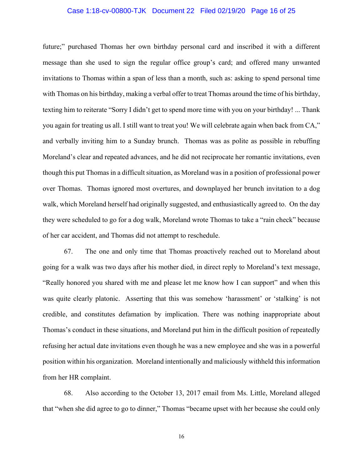#### Case 1:18-cv-00800-TJK Document 22 Filed 02/19/20 Page 16 of 25

future;" purchased Thomas her own birthday personal card and inscribed it with a different message than she used to sign the regular office group's card; and offered many unwanted invitations to Thomas within a span of less than a month, such as: asking to spend personal time with Thomas on his birthday, making a verbal offer to treat Thomas around the time of his birthday, texting him to reiterate "Sorry I didn't get to spend more time with you on your birthday! ... Thank you again for treating us all. I still want to treat you! We will celebrate again when back from CA," and verbally inviting him to a Sunday brunch. Thomas was as polite as possible in rebuffing Moreland's clear and repeated advances, and he did not reciprocate her romantic invitations, even though this put Thomas in a difficult situation, as Moreland was in a position of professional power over Thomas. Thomas ignored most overtures, and downplayed her brunch invitation to a dog walk, which Moreland herself had originally suggested, and enthusiastically agreed to. On the day they were scheduled to go for a dog walk, Moreland wrote Thomas to take a "rain check" because of her car accident, and Thomas did not attempt to reschedule.

67. The one and only time that Thomas proactively reached out to Moreland about going for a walk was two days after his mother died, in direct reply to Moreland's text message, "Really honored you shared with me and please let me know how I can support" and when this was quite clearly platonic. Asserting that this was somehow 'harassment' or 'stalking' is not credible, and constitutes defamation by implication. There was nothing inappropriate about Thomas's conduct in these situations, and Moreland put him in the difficult position of repeatedly refusing her actual date invitations even though he was a new employee and she was in a powerful position within his organization. Moreland intentionally and maliciously withheld this information from her HR complaint.

68. Also according to the October 13, 2017 email from Ms. Little, Moreland alleged that "when she did agree to go to dinner," Thomas "became upset with her because she could only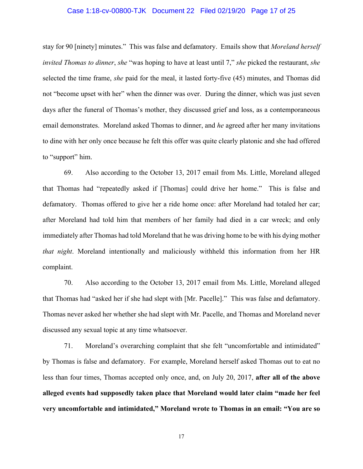#### Case 1:18-cv-00800-TJK Document 22 Filed 02/19/20 Page 17 of 25

stay for 90 [ninety] minutes." This was false and defamatory. Emails show that *Moreland herself invited Thomas to dinner*, *she* "was hoping to have at least until 7," *she* picked the restaurant, *she* selected the time frame, *she* paid for the meal, it lasted forty-five (45) minutes, and Thomas did not "become upset with her" when the dinner was over. During the dinner, which was just seven days after the funeral of Thomas's mother, they discussed grief and loss, as a contemporaneous email demonstrates. Moreland asked Thomas to dinner, and *he* agreed after her many invitations to dine with her only once because he felt this offer was quite clearly platonic and she had offered to "support" him.

69. Also according to the October 13, 2017 email from Ms. Little, Moreland alleged that Thomas had "repeatedly asked if [Thomas] could drive her home." This is false and defamatory. Thomas offered to give her a ride home once: after Moreland had totaled her car; after Moreland had told him that members of her family had died in a car wreck; and only immediately after Thomas had told Moreland that he was driving home to be with his dying mother *that night*. Moreland intentionally and maliciously withheld this information from her HR complaint.

70. Also according to the October 13, 2017 email from Ms. Little, Moreland alleged that Thomas had "asked her if she had slept with [Mr. Pacelle]." This was false and defamatory. Thomas never asked her whether she had slept with Mr. Pacelle, and Thomas and Moreland never discussed any sexual topic at any time whatsoever.

71. Moreland's overarching complaint that she felt "uncomfortable and intimidated" by Thomas is false and defamatory. For example, Moreland herself asked Thomas out to eat no less than four times, Thomas accepted only once, and, on July 20, 2017, **after all of the above alleged events had supposedly taken place that Moreland would later claim "made her feel very uncomfortable and intimidated," Moreland wrote to Thomas in an email: "You are so**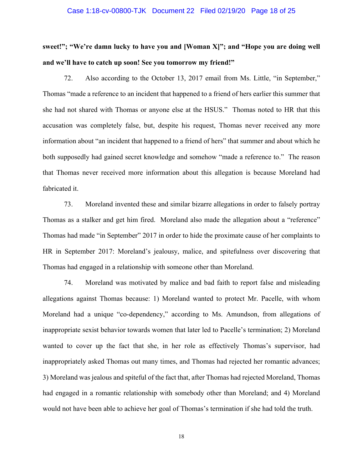#### Case 1:18-cv-00800-TJK Document 22 Filed 02/19/20 Page 18 of 25

**sweet!"; "We're damn lucky to have you and [Woman X]"; and "Hope you are doing well and we'll have to catch up soon! See you tomorrow my friend!"**

72. Also according to the October 13, 2017 email from Ms. Little, "in September," Thomas "made a reference to an incident that happened to a friend of hers earlier this summer that she had not shared with Thomas or anyone else at the HSUS." Thomas noted to HR that this accusation was completely false, but, despite his request, Thomas never received any more information about "an incident that happened to a friend of hers" that summer and about which he both supposedly had gained secret knowledge and somehow "made a reference to." The reason that Thomas never received more information about this allegation is because Moreland had fabricated it.

73. Moreland invented these and similar bizarre allegations in order to falsely portray Thomas as a stalker and get him fired. Moreland also made the allegation about a "reference" Thomas had made "in September" 2017 in order to hide the proximate cause of her complaints to HR in September 2017: Moreland's jealousy, malice, and spitefulness over discovering that Thomas had engaged in a relationship with someone other than Moreland.

74. Moreland was motivated by malice and bad faith to report false and misleading allegations against Thomas because: 1) Moreland wanted to protect Mr. Pacelle, with whom Moreland had a unique "co-dependency," according to Ms. Amundson, from allegations of inappropriate sexist behavior towards women that later led to Pacelle's termination; 2) Moreland wanted to cover up the fact that she, in her role as effectively Thomas's supervisor, had inappropriately asked Thomas out many times, and Thomas had rejected her romantic advances; 3) Moreland was jealous and spiteful of the fact that, after Thomas had rejected Moreland, Thomas had engaged in a romantic relationship with somebody other than Moreland; and 4) Moreland would not have been able to achieve her goal of Thomas's termination if she had told the truth.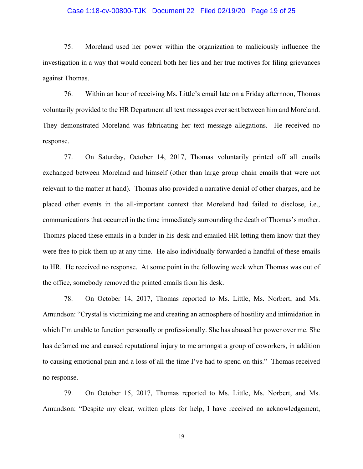#### Case 1:18-cv-00800-TJK Document 22 Filed 02/19/20 Page 19 of 25

75. Moreland used her power within the organization to maliciously influence the investigation in a way that would conceal both her lies and her true motives for filing grievances against Thomas.

76. Within an hour of receiving Ms. Little's email late on a Friday afternoon, Thomas voluntarily provided to the HR Department all text messages ever sent between him and Moreland. They demonstrated Moreland was fabricating her text message allegations. He received no response.

77. On Saturday, October 14, 2017, Thomas voluntarily printed off all emails exchanged between Moreland and himself (other than large group chain emails that were not relevant to the matter at hand). Thomas also provided a narrative denial of other charges, and he placed other events in the all-important context that Moreland had failed to disclose, i.e., communications that occurred in the time immediately surrounding the death of Thomas's mother. Thomas placed these emails in a binder in his desk and emailed HR letting them know that they were free to pick them up at any time. He also individually forwarded a handful of these emails to HR. He received no response. At some point in the following week when Thomas was out of the office, somebody removed the printed emails from his desk.

78. On October 14, 2017, Thomas reported to Ms. Little, Ms. Norbert, and Ms. Amundson: "Crystal is victimizing me and creating an atmosphere of hostility and intimidation in which I'm unable to function personally or professionally. She has abused her power over me. She has defamed me and caused reputational injury to me amongst a group of coworkers, in addition to causing emotional pain and a loss of all the time I've had to spend on this." Thomas received no response.

79. On October 15, 2017, Thomas reported to Ms. Little, Ms. Norbert, and Ms. Amundson: "Despite my clear, written pleas for help, I have received no acknowledgement,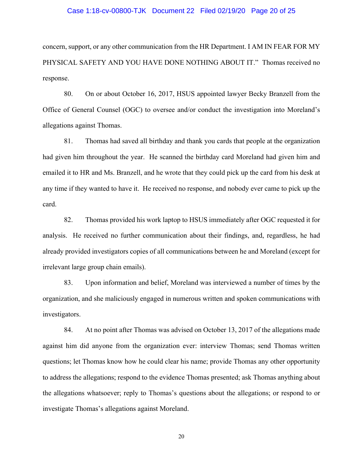#### Case 1:18-cv-00800-TJK Document 22 Filed 02/19/20 Page 20 of 25

concern, support, or any other communication from the HR Department. I AM IN FEAR FOR MY PHYSICAL SAFETY AND YOU HAVE DONE NOTHING ABOUT IT." Thomas received no response.

80. On or about October 16, 2017, HSUS appointed lawyer Becky Branzell from the Office of General Counsel (OGC) to oversee and/or conduct the investigation into Moreland's allegations against Thomas.

81. Thomas had saved all birthday and thank you cards that people at the organization had given him throughout the year. He scanned the birthday card Moreland had given him and emailed it to HR and Ms. Branzell, and he wrote that they could pick up the card from his desk at any time if they wanted to have it. He received no response, and nobody ever came to pick up the card.

82. Thomas provided his work laptop to HSUS immediately after OGC requested it for analysis. He received no further communication about their findings, and, regardless, he had already provided investigators copies of all communications between he and Moreland (except for irrelevant large group chain emails).

83. Upon information and belief, Moreland was interviewed a number of times by the organization, and she maliciously engaged in numerous written and spoken communications with investigators.

84. At no point after Thomas was advised on October 13, 2017 of the allegations made against him did anyone from the organization ever: interview Thomas; send Thomas written questions; let Thomas know how he could clear his name; provide Thomas any other opportunity to address the allegations; respond to the evidence Thomas presented; ask Thomas anything about the allegations whatsoever; reply to Thomas's questions about the allegations; or respond to or investigate Thomas's allegations against Moreland.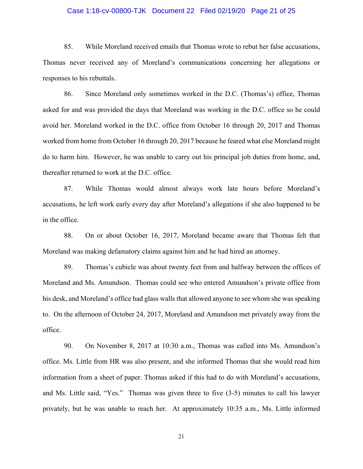#### Case 1:18-cv-00800-TJK Document 22 Filed 02/19/20 Page 21 of 25

85. While Moreland received emails that Thomas wrote to rebut her false accusations, Thomas never received any of Moreland's communications concerning her allegations or responses to his rebuttals.

86. Since Moreland only sometimes worked in the D.C. (Thomas's) office, Thomas asked for and was provided the days that Moreland was working in the D.C. office so he could avoid her. Moreland worked in the D.C. office from October 16 through 20, 2017 and Thomas worked from home from October 16 through 20, 2017 because he feared what else Moreland might do to harm him. However, he was unable to carry out his principal job duties from home, and, thereafter returned to work at the D.C. office.

87. While Thomas would almost always work late hours before Moreland's accusations, he left work early every day after Moreland's allegations if she also happened to be in the office.

88. On or about October 16, 2017, Moreland became aware that Thomas felt that Moreland was making defamatory claims against him and he had hired an attorney.

89. Thomas's cubicle was about twenty feet from and halfway between the offices of Moreland and Ms. Amundson. Thomas could see who entered Amundson's private office from his desk, and Moreland's office had glass walls that allowed anyone to see whom she was speaking to. On the afternoon of October 24, 2017, Moreland and Amundson met privately away from the office.

90. On November 8, 2017 at 10:30 a.m., Thomas was called into Ms. Amundson's office. Ms. Little from HR was also present, and she informed Thomas that she would read him information from a sheet of paper. Thomas asked if this had to do with Moreland's accusations, and Ms. Little said, "Yes." Thomas was given three to five (3-5) minutes to call his lawyer privately, but he was unable to reach her. At approximately 10:35 a.m., Ms. Little informed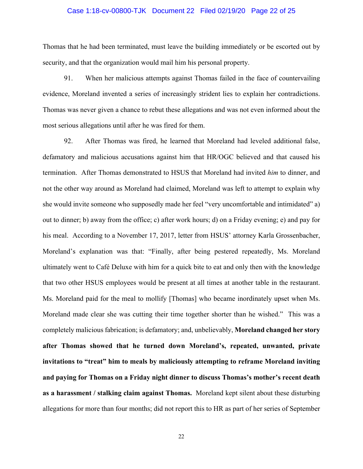#### Case 1:18-cv-00800-TJK Document 22 Filed 02/19/20 Page 22 of 25

Thomas that he had been terminated, must leave the building immediately or be escorted out by security, and that the organization would mail him his personal property.

91. When her malicious attempts against Thomas failed in the face of countervailing evidence, Moreland invented a series of increasingly strident lies to explain her contradictions. Thomas was never given a chance to rebut these allegations and was not even informed about the most serious allegations until after he was fired for them.

92. After Thomas was fired, he learned that Moreland had leveled additional false, defamatory and malicious accusations against him that HR/OGC believed and that caused his termination. After Thomas demonstrated to HSUS that Moreland had invited *him* to dinner, and not the other way around as Moreland had claimed, Moreland was left to attempt to explain why she would invite someone who supposedly made her feel "very uncomfortable and intimidated" a) out to dinner; b) away from the office; c) after work hours; d) on a Friday evening; e) and pay for his meal. According to a November 17, 2017, letter from HSUS' attorney Karla Grossenbacher, Moreland's explanation was that: "Finally, after being pestered repeatedly, Ms. Moreland ultimately went to Café Deluxe with him for a quick bite to eat and only then with the knowledge that two other HSUS employees would be present at all times at another table in the restaurant. Ms. Moreland paid for the meal to mollify [Thomas] who became inordinately upset when Ms. Moreland made clear she was cutting their time together shorter than he wished." This was a completely malicious fabrication; is defamatory; and, unbelievably, **Moreland changed her story after Thomas showed that he turned down Moreland's, repeated, unwanted, private invitations to "treat" him to meals by maliciously attempting to reframe Moreland inviting and paying for Thomas on a Friday night dinner to discuss Thomas's mother's recent death as a harassment / stalking claim against Thomas.** Moreland kept silent about these disturbing allegations for more than four months; did not report this to HR as part of her series of September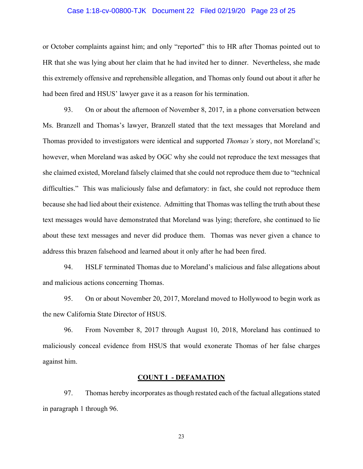#### Case 1:18-cv-00800-TJK Document 22 Filed 02/19/20 Page 23 of 25

or October complaints against him; and only "reported" this to HR after Thomas pointed out to HR that she was lying about her claim that he had invited her to dinner. Nevertheless, she made this extremely offensive and reprehensible allegation, and Thomas only found out about it after he had been fired and HSUS' lawyer gave it as a reason for his termination.

93. On or about the afternoon of November 8, 2017, in a phone conversation between Ms. Branzell and Thomas's lawyer, Branzell stated that the text messages that Moreland and Thomas provided to investigators were identical and supported *Thomas's* story, not Moreland's; however, when Moreland was asked by OGC why she could not reproduce the text messages that she claimed existed, Moreland falsely claimed that she could not reproduce them due to "technical difficulties." This was maliciously false and defamatory: in fact, she could not reproduce them because she had lied about their existence. Admitting that Thomas was telling the truth about these text messages would have demonstrated that Moreland was lying; therefore, she continued to lie about these text messages and never did produce them. Thomas was never given a chance to address this brazen falsehood and learned about it only after he had been fired.

94. HSLF terminated Thomas due to Moreland's malicious and false allegations about and malicious actions concerning Thomas.

95. On or about November 20, 2017, Moreland moved to Hollywood to begin work as the new California State Director of HSUS.

96. From November 8, 2017 through August 10, 2018, Moreland has continued to maliciously conceal evidence from HSUS that would exonerate Thomas of her false charges against him.

#### **COUNT I - DEFAMATION**

97. Thomas hereby incorporates as though restated each of the factual allegations stated in paragraph 1 through 96.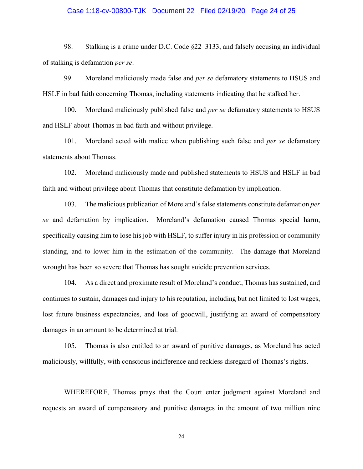#### Case 1:18-cv-00800-TJK Document 22 Filed 02/19/20 Page 24 of 25

98. Stalking is a crime under D.C. Code §22–3133, and falsely accusing an individual of stalking is defamation *per se*.

99. Moreland maliciously made false and *per se* defamatory statements to HSUS and HSLF in bad faith concerning Thomas, including statements indicating that he stalked her.

100. Moreland maliciously published false and *per se* defamatory statements to HSUS and HSLF about Thomas in bad faith and without privilege.

101. Moreland acted with malice when publishing such false and *per se* defamatory statements about Thomas.

102. Moreland maliciously made and published statements to HSUS and HSLF in bad faith and without privilege about Thomas that constitute defamation by implication.

103. The malicious publication of Moreland's false statements constitute defamation *per se* and defamation by implication. Moreland's defamation caused Thomas special harm, specifically causing him to lose his job with HSLF, to suffer injury in his profession or community standing, and to lower him in the estimation of the community. The damage that Moreland wrought has been so severe that Thomas has sought suicide prevention services.

104. As a direct and proximate result of Moreland's conduct, Thomas has sustained, and continues to sustain, damages and injury to his reputation, including but not limited to lost wages, lost future business expectancies, and loss of goodwill, justifying an award of compensatory damages in an amount to be determined at trial.

105. Thomas is also entitled to an award of punitive damages, as Moreland has acted maliciously, willfully, with conscious indifference and reckless disregard of Thomas's rights.

WHEREFORE, Thomas prays that the Court enter judgment against Moreland and requests an award of compensatory and punitive damages in the amount of two million nine